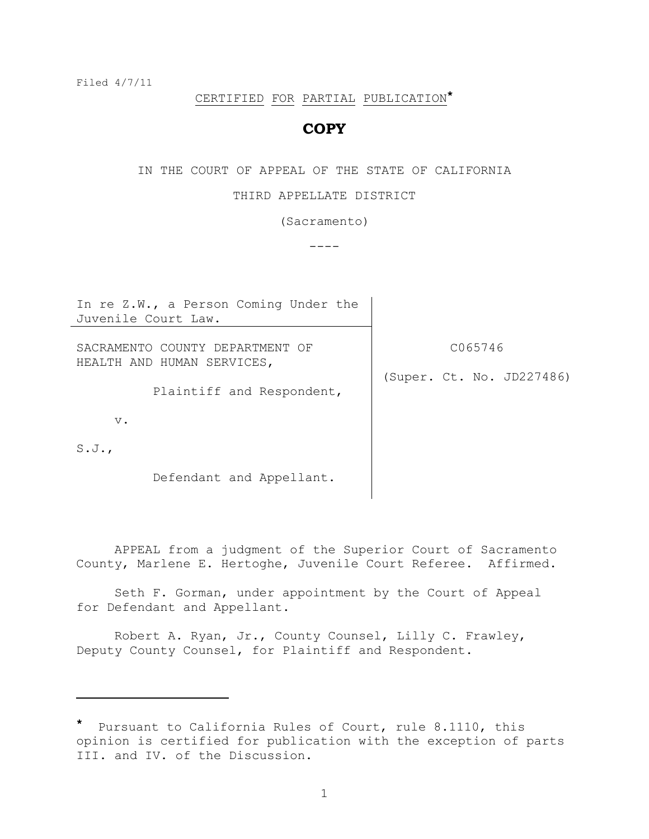Filed 4/7/11

i<br>L

# CERTIFIED FOR PARTIAL PUBLICATION**\***

## **COPY**

IN THE COURT OF APPEAL OF THE STATE OF CALIFORNIA

#### THIRD APPELLATE DISTRICT

(Sacramento)

 $----$ 

In re Z.W., a Person Coming Under the Juvenile Court Law. SACRAMENTO COUNTY DEPARTMENT OF HEALTH AND HUMAN SERVICES, Plaintiff and Respondent, v. S.J., Defendant and Appellant. C065746 (Super. Ct. No. JD227486)

APPEAL from a judgment of the Superior Court of Sacramento County, Marlene E. Hertoghe, Juvenile Court Referee. Affirmed.

Seth F. Gorman, under appointment by the Court of Appeal for Defendant and Appellant.

Robert A. Ryan, Jr., County Counsel, Lilly C. Frawley, Deputy County Counsel, for Plaintiff and Respondent.

Pursuant to California Rules of Court, rule 8.1110, this opinion is certified for publication with the exception of parts III. and IV. of the Discussion.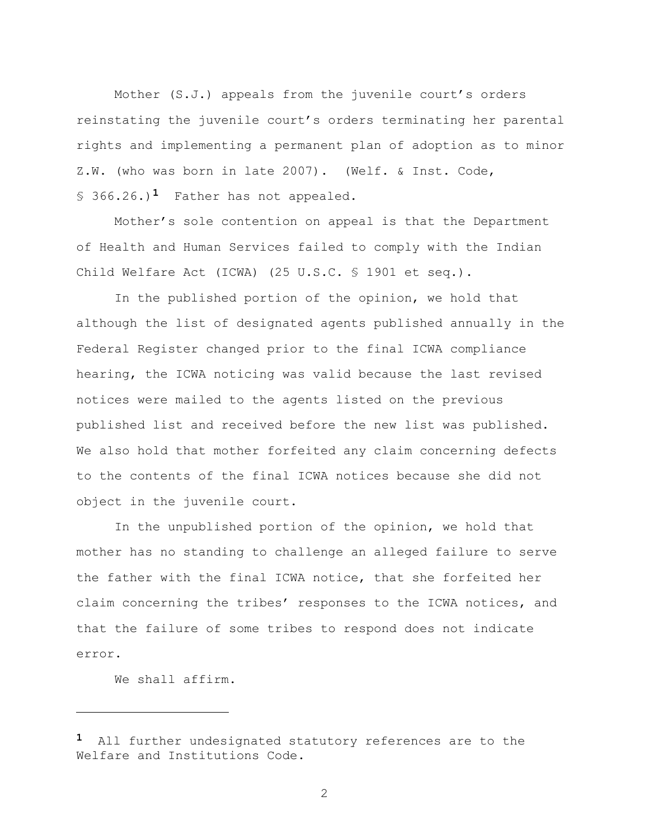Mother (S.J.) appeals from the juvenile court's orders reinstating the juvenile court"s orders terminating her parental rights and implementing a permanent plan of adoption as to minor Z.W. (who was born in late 2007). (Welf. & Inst. Code, § 366.26.)<sup>1</sup> Father has not appealed.

Mother"s sole contention on appeal is that the Department of Health and Human Services failed to comply with the Indian Child Welfare Act (ICWA) (25 U.S.C. § 1901 et seq.).

In the published portion of the opinion, we hold that although the list of designated agents published annually in the Federal Register changed prior to the final ICWA compliance hearing, the ICWA noticing was valid because the last revised notices were mailed to the agents listed on the previous published list and received before the new list was published. We also hold that mother forfeited any claim concerning defects to the contents of the final ICWA notices because she did not object in the juvenile court.

In the unpublished portion of the opinion, we hold that mother has no standing to challenge an alleged failure to serve the father with the final ICWA notice, that she forfeited her claim concerning the tribes' responses to the ICWA notices, and that the failure of some tribes to respond does not indicate error.

We shall affirm.

i<br>L

**<sup>1</sup>** All further undesignated statutory references are to the Welfare and Institutions Code.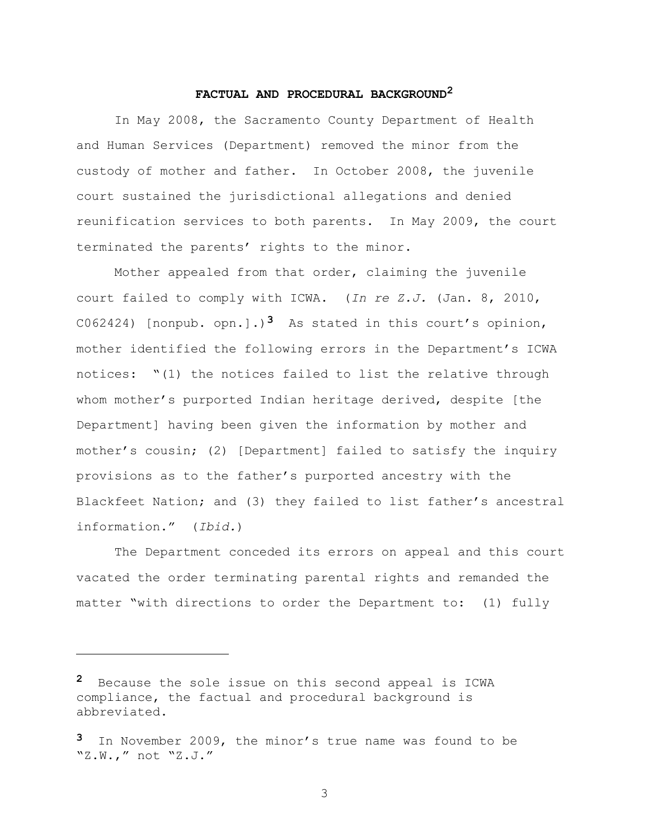#### **FACTUAL AND PROCEDURAL BACKGROUND<sup>2</sup>**

In May 2008, the Sacramento County Department of Health and Human Services (Department) removed the minor from the custody of mother and father. In October 2008, the juvenile court sustained the jurisdictional allegations and denied reunification services to both parents. In May 2009, the court terminated the parents' rights to the minor.

Mother appealed from that order, claiming the juvenile court failed to comply with ICWA. (*In re Z.J.* (Jan. 8, 2010, C062424) [nonpub. opn.].)<sup>3</sup> As stated in this court's opinion, mother identified the following errors in the Department"s ICWA notices: "(1) the notices failed to list the relative through whom mother's purported Indian heritage derived, despite [the Department] having been given the information by mother and mother"s cousin; (2) [Department] failed to satisfy the inquiry provisions as to the father"s purported ancestry with the Blackfeet Nation; and (3) they failed to list father"s ancestral information." (*Ibid.*)

The Department conceded its errors on appeal and this court vacated the order terminating parental rights and remanded the matter "with directions to order the Department to: (1) fully

L,

**<sup>2</sup>** Because the sole issue on this second appeal is ICWA compliance, the factual and procedural background is abbreviated.

**<sup>3</sup>** In November 2009, the minor"s true name was found to be "Z.W.," not "Z.J."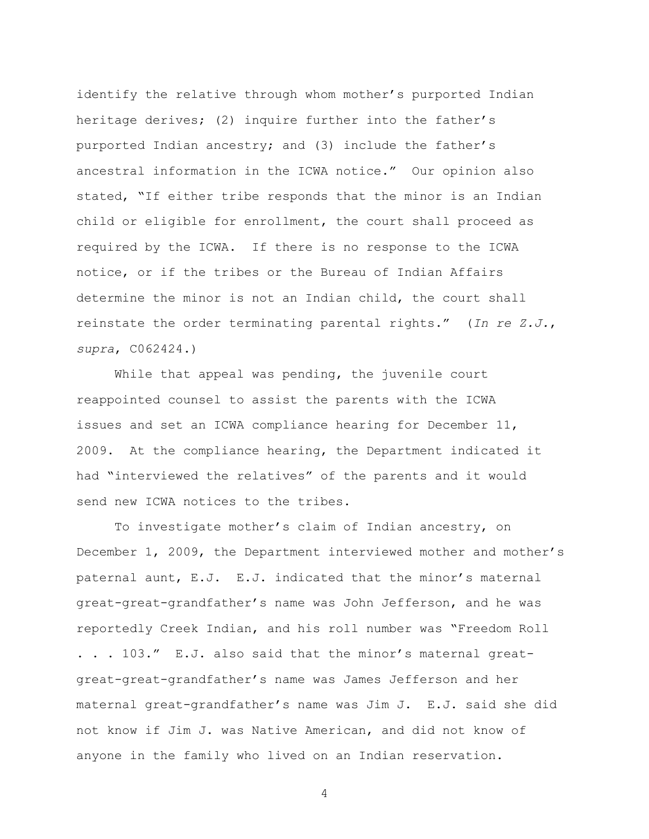identify the relative through whom mother"s purported Indian heritage derives; (2) inquire further into the father's purported Indian ancestry; and (3) include the father's ancestral information in the ICWA notice." Our opinion also stated, "If either tribe responds that the minor is an Indian child or eligible for enrollment, the court shall proceed as required by the ICWA. If there is no response to the ICWA notice, or if the tribes or the Bureau of Indian Affairs determine the minor is not an Indian child, the court shall reinstate the order terminating parental rights." (*In re Z.J.*, *supra*, C062424.)

While that appeal was pending, the juvenile court reappointed counsel to assist the parents with the ICWA issues and set an ICWA compliance hearing for December 11, 2009. At the compliance hearing, the Department indicated it had "interviewed the relatives" of the parents and it would send new ICWA notices to the tribes.

To investigate mother"s claim of Indian ancestry, on December 1, 2009, the Department interviewed mother and mother"s paternal aunt, E.J. E.J. indicated that the minor's maternal great-great-grandfather"s name was John Jefferson, and he was reportedly Creek Indian, and his roll number was "Freedom Roll . . . 103." E.J. also said that the minor's maternal greatgreat-great-grandfather"s name was James Jefferson and her maternal great-grandfather"s name was Jim J. E.J. said she did not know if Jim J. was Native American, and did not know of anyone in the family who lived on an Indian reservation.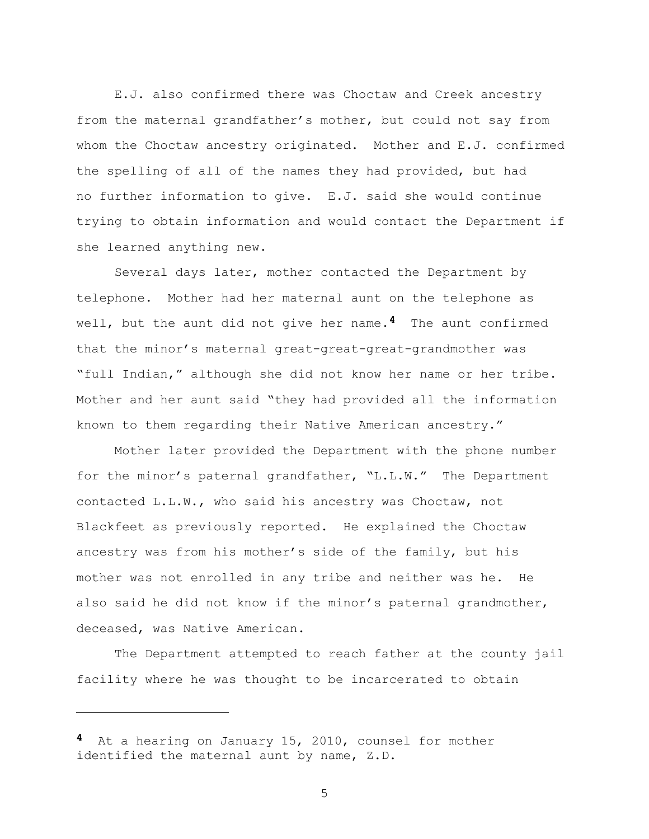E.J. also confirmed there was Choctaw and Creek ancestry from the maternal grandfather's mother, but could not say from whom the Choctaw ancestry originated. Mother and E.J. confirmed the spelling of all of the names they had provided, but had no further information to give. E.J. said she would continue trying to obtain information and would contact the Department if she learned anything new.

Several days later, mother contacted the Department by telephone. Mother had her maternal aunt on the telephone as well, but the aunt did not give her name.**4** The aunt confirmed that the minor"s maternal great-great-great-grandmother was "full Indian," although she did not know her name or her tribe. Mother and her aunt said "they had provided all the information known to them regarding their Native American ancestry."

Mother later provided the Department with the phone number for the minor's paternal grandfather, "L.L.W." The Department contacted L.L.W., who said his ancestry was Choctaw, not Blackfeet as previously reported. He explained the Choctaw ancestry was from his mother's side of the family, but his mother was not enrolled in any tribe and neither was he. He also said he did not know if the minor's paternal grandmother, deceased, was Native American.

The Department attempted to reach father at the county jail facility where he was thought to be incarcerated to obtain

i<br>L

**<sup>4</sup>** At a hearing on January 15, 2010, counsel for mother identified the maternal aunt by name, Z.D.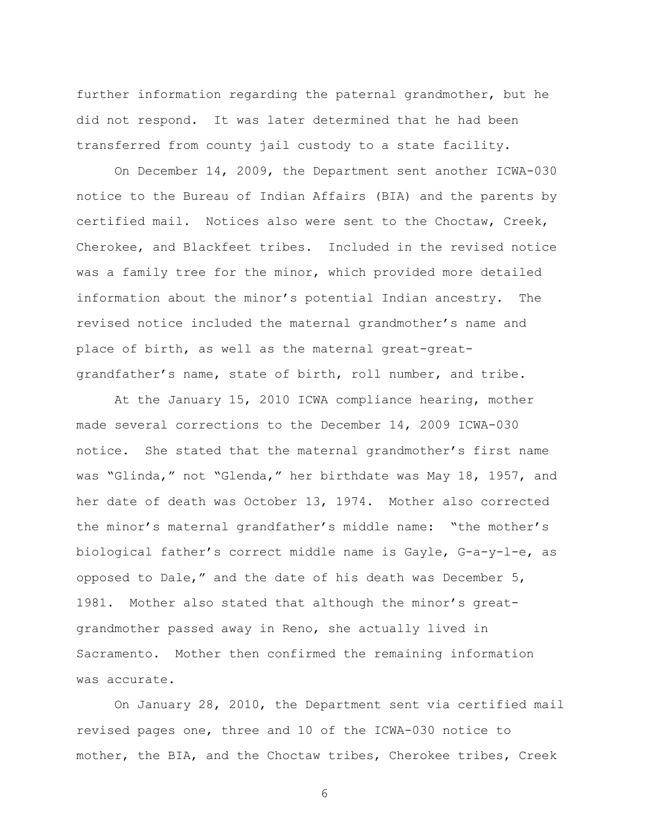further information regarding the paternal grandmother, but he did not respond. It was later determined that he had been transferred from county jail custody to a state facility.

On December 14, 2009, the Department sent another ICWA-030 notice to the Bureau of Indian Affairs (BIA) and the parents by certified mail. Notices also were sent to the Choctaw, Creek, Cherokee, and Blackfeet tribes. Included in the revised notice was a family tree for the minor, which provided more detailed information about the minor"s potential Indian ancestry. The revised notice included the maternal grandmother"s name and place of birth, as well as the maternal great-greatgrandfather"s name, state of birth, roll number, and tribe.

At the January 15, 2010 ICWA compliance hearing, mother made several corrections to the December 14, 2009 ICWA-030 notice. She stated that the maternal grandmother"s first name was "Glinda," not "Glenda," her birthdate was May 18, 1957, and her date of death was October 13, 1974. Mother also corrected the minor's maternal grandfather's middle name: "the mother's biological father"s correct middle name is Gayle, G-a-y-l-e, as opposed to Dale," and the date of his death was December 5, 1981. Mother also stated that although the minor's greatgrandmother passed away in Reno, she actually lived in Sacramento. Mother then confirmed the remaining information was accurate.

On January 28, 2010, the Department sent via certified mail revised pages one, three and 10 of the ICWA-030 notice to mother, the BIA, and the Choctaw tribes, Cherokee tribes, Creek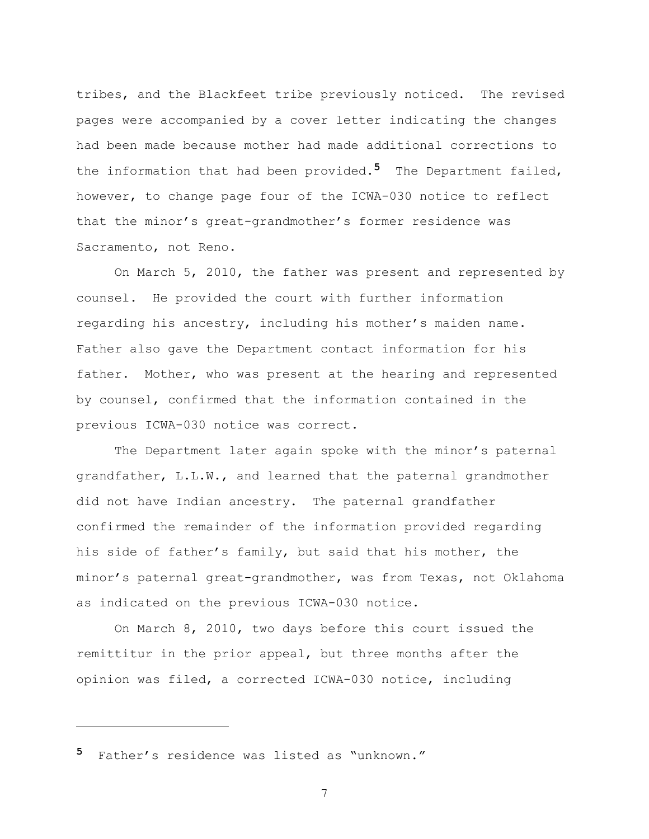tribes, and the Blackfeet tribe previously noticed. The revised pages were accompanied by a cover letter indicating the changes had been made because mother had made additional corrections to the information that had been provided.**5** The Department failed, however, to change page four of the ICWA-030 notice to reflect that the minor"s great-grandmother"s former residence was Sacramento, not Reno.

On March 5, 2010, the father was present and represented by counsel. He provided the court with further information regarding his ancestry, including his mother's maiden name. Father also gave the Department contact information for his father. Mother, who was present at the hearing and represented by counsel, confirmed that the information contained in the previous ICWA-030 notice was correct.

The Department later again spoke with the minor's paternal grandfather, L.L.W., and learned that the paternal grandmother did not have Indian ancestry. The paternal grandfather confirmed the remainder of the information provided regarding his side of father"s family, but said that his mother, the minor"s paternal great-grandmother, was from Texas, not Oklahoma as indicated on the previous ICWA-030 notice.

On March 8, 2010, two days before this court issued the remittitur in the prior appeal, but three months after the opinion was filed, a corrected ICWA-030 notice, including

**5** Father"s residence was listed as "unknown."

L,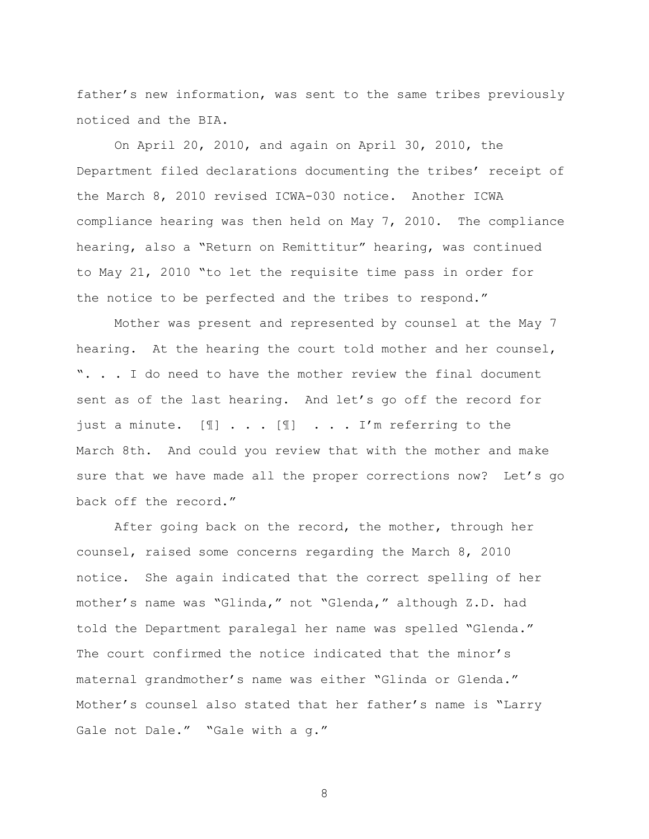father's new information, was sent to the same tribes previously noticed and the BIA.

On April 20, 2010, and again on April 30, 2010, the Department filed declarations documenting the tribes' receipt of the March 8, 2010 revised ICWA-030 notice. Another ICWA compliance hearing was then held on May 7, 2010. The compliance hearing, also a "Return on Remittitur" hearing, was continued to May 21, 2010 "to let the requisite time pass in order for the notice to be perfected and the tribes to respond."

Mother was present and represented by counsel at the May 7 hearing. At the hearing the court told mother and her counsel, ". . . I do need to have the mother review the final document sent as of the last hearing. And let's go off the record for just a minute. [1] . . . [1] . . . I'm referring to the March 8th. And could you review that with the mother and make sure that we have made all the proper corrections now? Let's go back off the record."

After going back on the record, the mother, through her counsel, raised some concerns regarding the March 8, 2010 notice. She again indicated that the correct spelling of her mother"s name was "Glinda," not "Glenda," although Z.D. had told the Department paralegal her name was spelled "Glenda." The court confirmed the notice indicated that the minor's maternal grandmother"s name was either "Glinda or Glenda." Mother's counsel also stated that her father's name is "Larry Gale not Dale." "Gale with a g."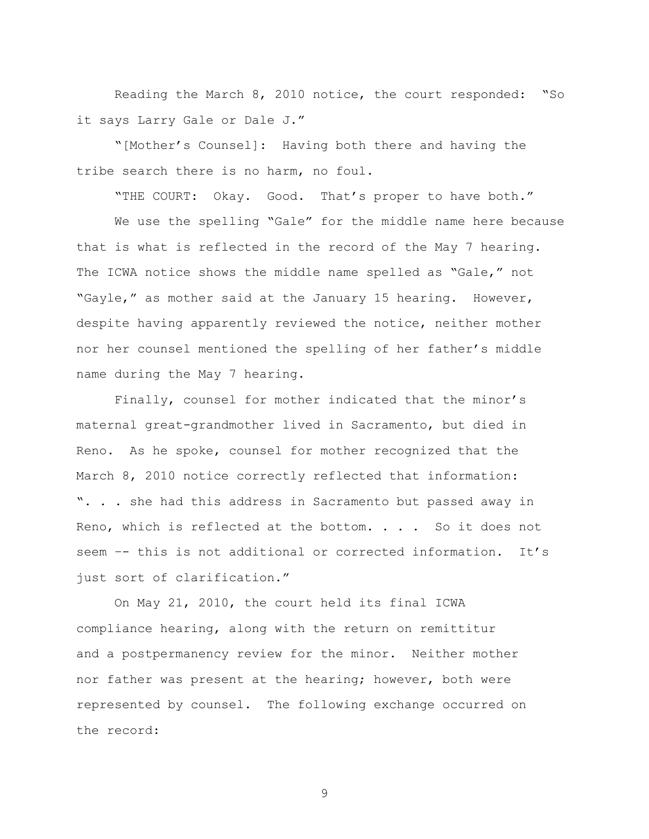Reading the March 8, 2010 notice, the court responded: "So it says Larry Gale or Dale J."

"[Mother"s Counsel]: Having both there and having the tribe search there is no harm, no foul.

"THE COURT: Okay. Good. That"s proper to have both."

We use the spelling "Gale" for the middle name here because that is what is reflected in the record of the May 7 hearing. The ICWA notice shows the middle name spelled as "Gale," not "Gayle," as mother said at the January 15 hearing. However, despite having apparently reviewed the notice, neither mother nor her counsel mentioned the spelling of her father"s middle name during the May 7 hearing.

Finally, counsel for mother indicated that the minor"s maternal great-grandmother lived in Sacramento, but died in Reno. As he spoke, counsel for mother recognized that the March 8, 2010 notice correctly reflected that information: ". . . she had this address in Sacramento but passed away in Reno, which is reflected at the bottom. . . . So it does not seem -- this is not additional or corrected information. It's just sort of clarification."

On May 21, 2010, the court held its final ICWA compliance hearing, along with the return on remittitur and a postpermanency review for the minor. Neither mother nor father was present at the hearing; however, both were represented by counsel. The following exchange occurred on the record: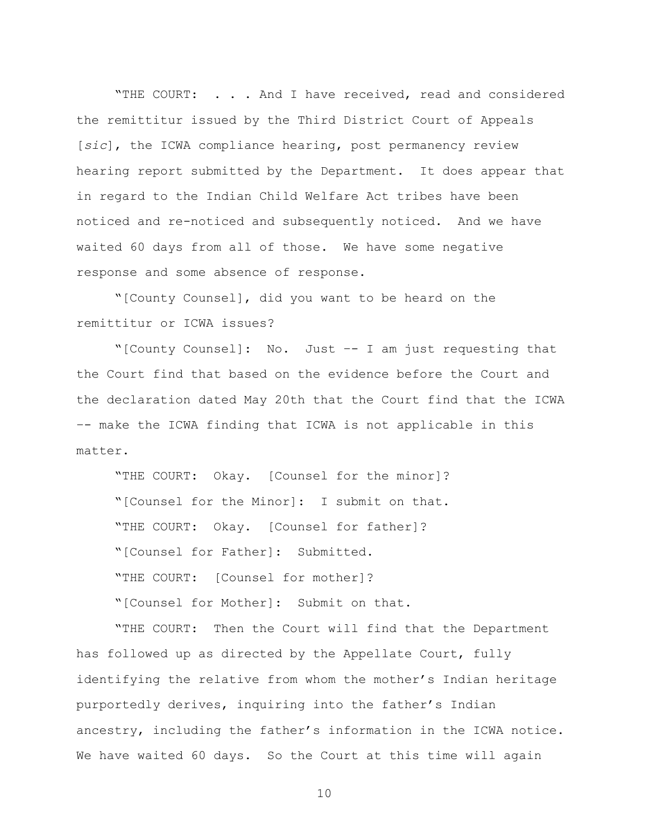"THE COURT: . . . And I have received, read and considered the remittitur issued by the Third District Court of Appeals [*sic*], the ICWA compliance hearing, post permanency review hearing report submitted by the Department. It does appear that in regard to the Indian Child Welfare Act tribes have been noticed and re-noticed and subsequently noticed. And we have waited 60 days from all of those. We have some negative response and some absence of response.

"[County Counsel], did you want to be heard on the remittitur or ICWA issues?

"[County Counsel]: No. Just –- I am just requesting that the Court find that based on the evidence before the Court and the declaration dated May 20th that the Court find that the ICWA –- make the ICWA finding that ICWA is not applicable in this matter.

"THE COURT: Okay. [Counsel for the minor]? "[Counsel for the Minor]: I submit on that. "THE COURT: Okay. [Counsel for father]? "[Counsel for Father]: Submitted. "THE COURT: [Counsel for mother]? "[Counsel for Mother]: Submit on that.

"THE COURT: Then the Court will find that the Department has followed up as directed by the Appellate Court, fully identifying the relative from whom the mother's Indian heritage purportedly derives, inquiring into the father"s Indian ancestry, including the father"s information in the ICWA notice. We have waited 60 days. So the Court at this time will again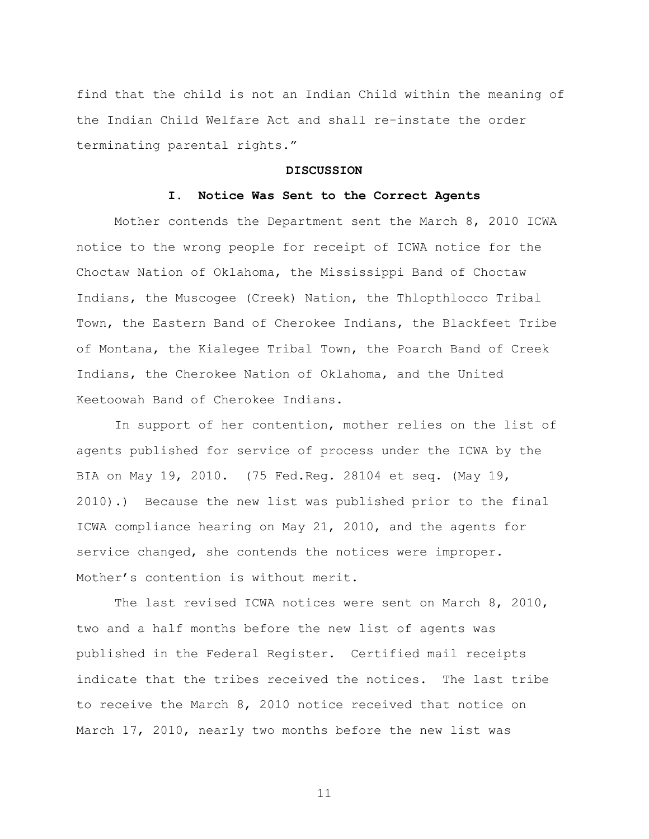find that the child is not an Indian Child within the meaning of the Indian Child Welfare Act and shall re-instate the order terminating parental rights."

#### **DISCUSSION**

#### **I. Notice Was Sent to the Correct Agents**

Mother contends the Department sent the March 8, 2010 ICWA notice to the wrong people for receipt of ICWA notice for the Choctaw Nation of Oklahoma, the Mississippi Band of Choctaw Indians, the Muscogee (Creek) Nation, the Thlopthlocco Tribal Town, the Eastern Band of Cherokee Indians, the Blackfeet Tribe of Montana, the Kialegee Tribal Town, the Poarch Band of Creek Indians, the Cherokee Nation of Oklahoma, and the United Keetoowah Band of Cherokee Indians.

In support of her contention, mother relies on the list of agents published for service of process under the ICWA by the BIA on May 19, 2010. (75 Fed.Reg. 28104 et seq. (May 19, 2010).) Because the new list was published prior to the final ICWA compliance hearing on May 21, 2010, and the agents for service changed, she contends the notices were improper. Mother"s contention is without merit.

The last revised ICWA notices were sent on March 8, 2010, two and a half months before the new list of agents was published in the Federal Register. Certified mail receipts indicate that the tribes received the notices. The last tribe to receive the March 8, 2010 notice received that notice on March 17, 2010, nearly two months before the new list was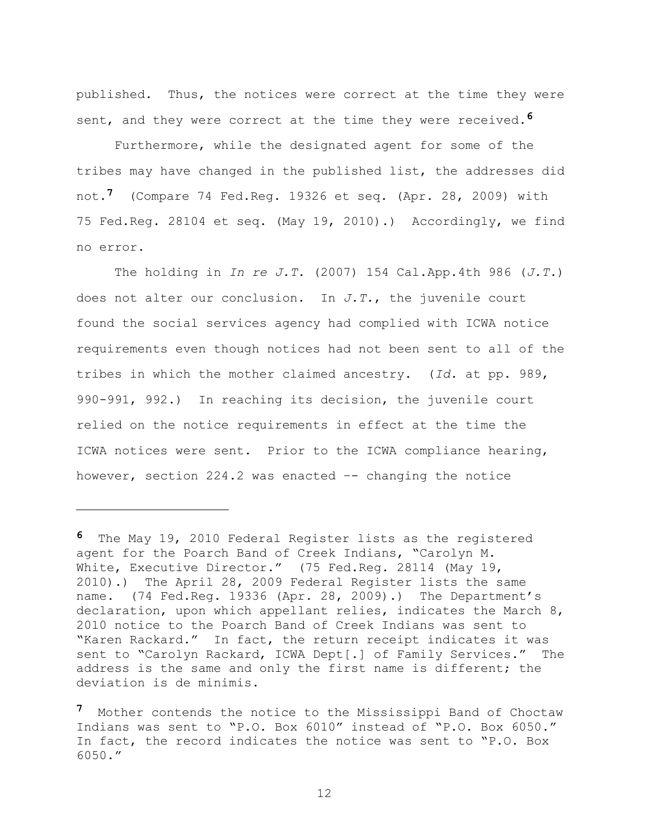published. Thus, the notices were correct at the time they were sent, and they were correct at the time they were received.**6**

Furthermore, while the designated agent for some of the tribes may have changed in the published list, the addresses did not.**7** (Compare 74 Fed.Reg. 19326 et seq. (Apr. 28, 2009) with 75 Fed.Reg. 28104 et seq. (May 19, 2010).) Accordingly, we find no error.

The holding in *In re J.T.* (2007) 154 Cal.App.4th 986 (*J.T.*) does not alter our conclusion. In *J.T.*, the juvenile court found the social services agency had complied with ICWA notice requirements even though notices had not been sent to all of the tribes in which the mother claimed ancestry. (*Id.* at pp. 989, 990-991, 992.) In reaching its decision, the juvenile court relied on the notice requirements in effect at the time the ICWA notices were sent. Prior to the ICWA compliance hearing, however, section 224.2 was enacted –- changing the notice

i<br>L

**<sup>6</sup>** The May 19, 2010 Federal Register lists as the registered agent for the Poarch Band of Creek Indians, "Carolyn M. White, Executive Director." (75 Fed.Req. 28114 (May 19, 2010).) The April 28, 2009 Federal Register lists the same name. (74 Fed.Req. 19336 (Apr. 28, 2009).) The Department's declaration, upon which appellant relies, indicates the March 8, 2010 notice to the Poarch Band of Creek Indians was sent to "Karen Rackard." In fact, the return receipt indicates it was sent to "Carolyn Rackard, ICWA Dept[.] of Family Services." The address is the same and only the first name is different; the deviation is de minimis.

**<sup>7</sup>** Mother contends the notice to the Mississippi Band of Choctaw Indians was sent to "P.O. Box 6010" instead of "P.O. Box 6050." In fact, the record indicates the notice was sent to "P.O. Box 6050."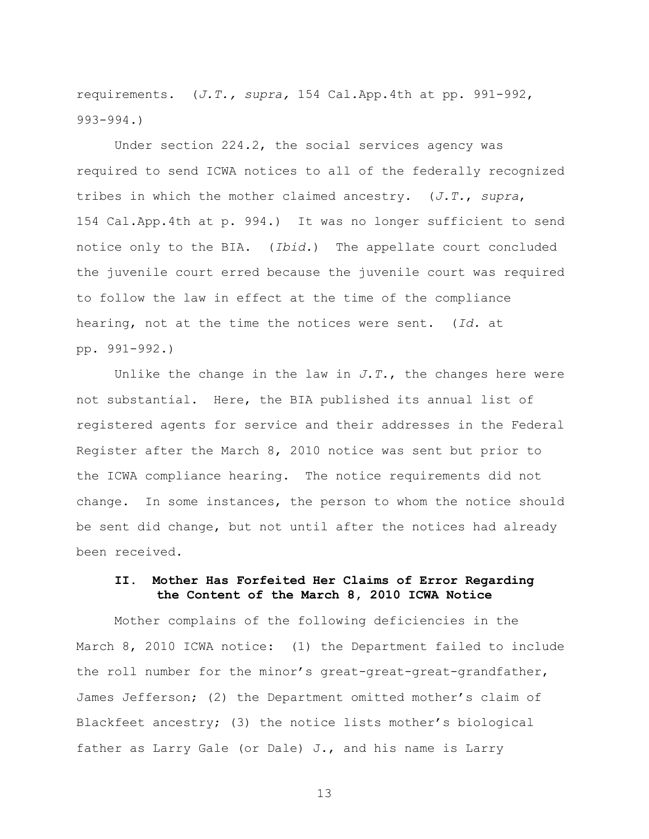requirements. (*J.T., supra,* 154 Cal.App.4th at pp. 991-992, 993-994.)

Under section 224.2, the social services agency was required to send ICWA notices to all of the federally recognized tribes in which the mother claimed ancestry. (*J.T.*, *supra*, 154 Cal.App.4th at p. 994.) It was no longer sufficient to send notice only to the BIA. (*Ibid.*) The appellate court concluded the juvenile court erred because the juvenile court was required to follow the law in effect at the time of the compliance hearing, not at the time the notices were sent. (*Id.* at pp. 991-992.)

Unlike the change in the law in  $J.T.$ , the changes here were not substantial. Here, the BIA published its annual list of registered agents for service and their addresses in the Federal Register after the March 8, 2010 notice was sent but prior to the ICWA compliance hearing. The notice requirements did not change. In some instances, the person to whom the notice should be sent did change, but not until after the notices had already been received.

### **II. Mother Has Forfeited Her Claims of Error Regarding the Content of the March 8, 2010 ICWA Notice**

Mother complains of the following deficiencies in the March 8, 2010 ICWA notice: (1) the Department failed to include the roll number for the minor"s great-great-great-grandfather, James Jefferson; (2) the Department omitted mother"s claim of Blackfeet ancestry; (3) the notice lists mother"s biological father as Larry Gale (or Dale) J., and his name is Larry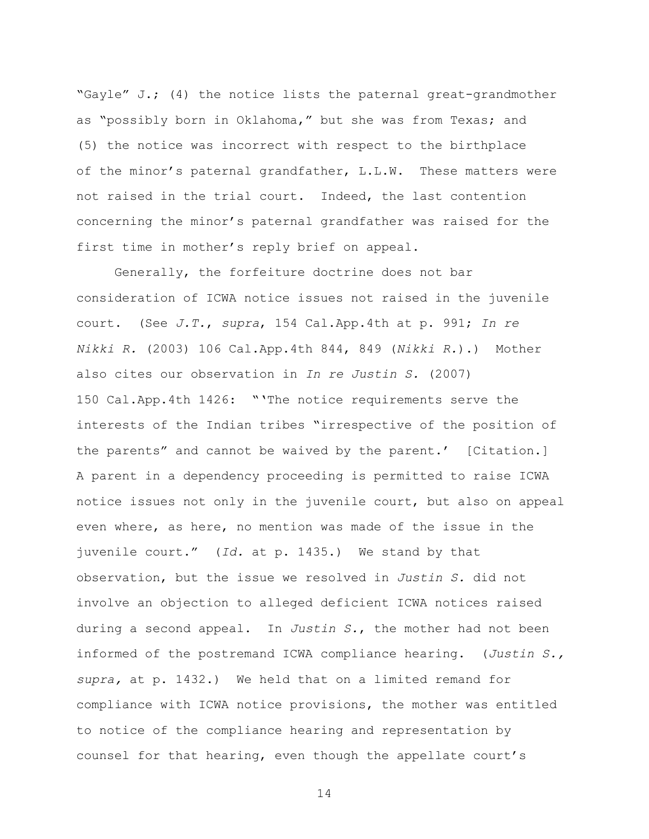"Gayle" J.; (4) the notice lists the paternal great-grandmother as "possibly born in Oklahoma," but she was from Texas; and (5) the notice was incorrect with respect to the birthplace of the minor's paternal grandfather, L.L.W. These matters were not raised in the trial court. Indeed, the last contention concerning the minor"s paternal grandfather was raised for the first time in mother's reply brief on appeal.

Generally, the forfeiture doctrine does not bar consideration of ICWA notice issues not raised in the juvenile court. (See *J.T.*, *supra*, 154 Cal.App.4th at p. 991; *In re Nikki R.* (2003) 106 Cal.App.4th 844, 849 (*Nikki R.*).) Mother also cites our observation in *In re Justin S.* (2007) 150 Cal.App.4th 1426: "'The notice requirements serve the interests of the Indian tribes "irrespective of the position of the parents" and cannot be waived by the parent.' [Citation.] A parent in a dependency proceeding is permitted to raise ICWA notice issues not only in the juvenile court, but also on appeal even where, as here, no mention was made of the issue in the juvenile court." (*Id.* at p. 1435.) We stand by that observation, but the issue we resolved in *Justin S.* did not involve an objection to alleged deficient ICWA notices raised during a second appeal. In *Justin S.*, the mother had not been informed of the postremand ICWA compliance hearing. (*Justin S., supra,* at p. 1432.) We held that on a limited remand for compliance with ICWA notice provisions, the mother was entitled to notice of the compliance hearing and representation by counsel for that hearing, even though the appellate court"s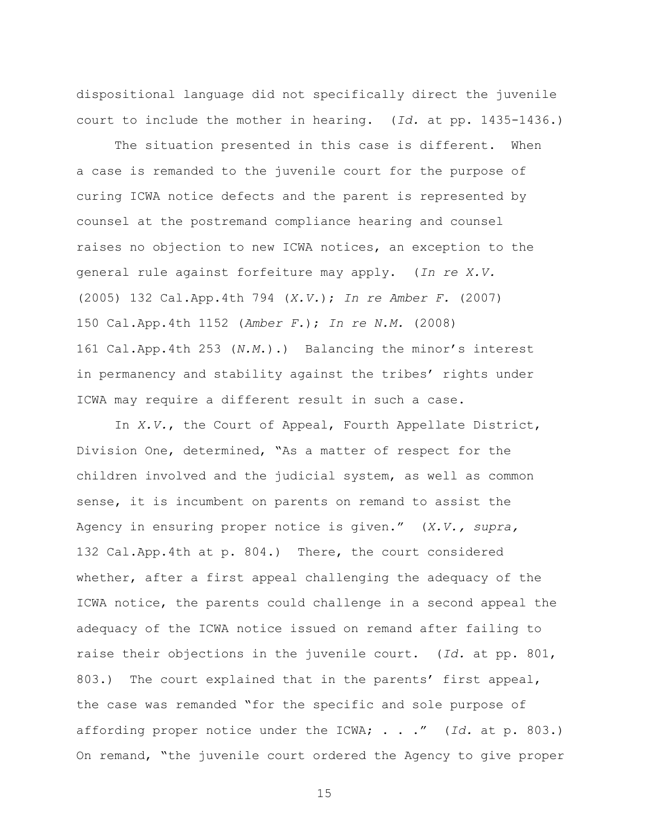dispositional language did not specifically direct the juvenile court to include the mother in hearing. (*Id.* at pp. 1435-1436.)

The situation presented in this case is different. When a case is remanded to the juvenile court for the purpose of curing ICWA notice defects and the parent is represented by counsel at the postremand compliance hearing and counsel raises no objection to new ICWA notices, an exception to the general rule against forfeiture may apply. (*In re X.V.* (2005) 132 Cal.App.4th 794 (*X.V.*); *In re Amber F.* (2007) 150 Cal.App.4th 1152 (*Amber F.*); *In re N.M.* (2008) 161 Cal.App.4th 253 (*N.M*.).) Balancing the minor"s interest in permanency and stability against the tribes' rights under ICWA may require a different result in such a case.

In *X.V.*, the Court of Appeal, Fourth Appellate District, Division One, determined, "As a matter of respect for the children involved and the judicial system, as well as common sense, it is incumbent on parents on remand to assist the Agency in ensuring proper notice is given." (*X.V., supra,*  132 Cal.App.4th at p. 804.) There, the court considered whether, after a first appeal challenging the adequacy of the ICWA notice, the parents could challenge in a second appeal the adequacy of the ICWA notice issued on remand after failing to raise their objections in the juvenile court. (*Id.* at pp. 801, 803.) The court explained that in the parents' first appeal, the case was remanded "for the specific and sole purpose of affording proper notice under the ICWA; . . ." (*Id.* at p. 803.) On remand, "the juvenile court ordered the Agency to give proper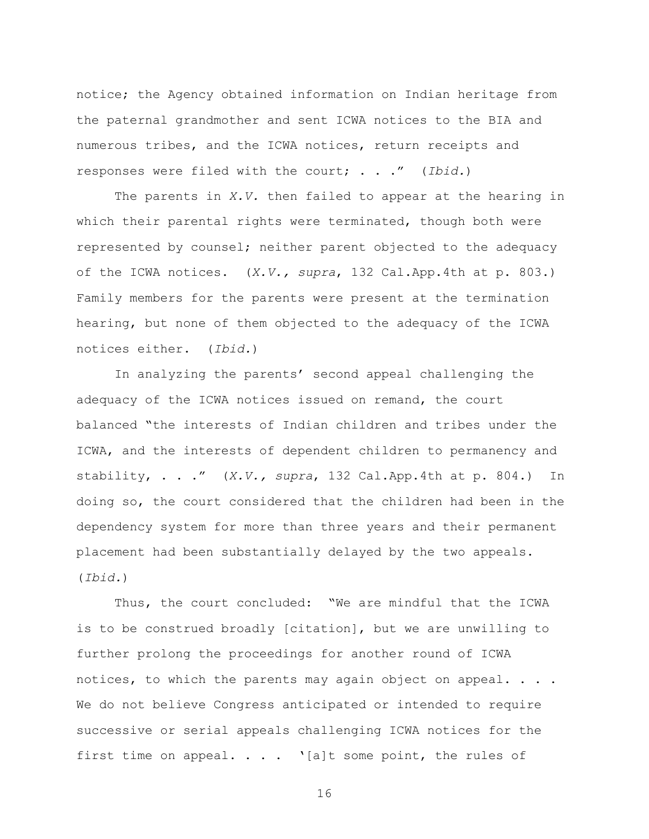notice; the Agency obtained information on Indian heritage from the paternal grandmother and sent ICWA notices to the BIA and numerous tribes, and the ICWA notices, return receipts and responses were filed with the court; . . ." (*Ibid.*)

The parents in *X.V.* then failed to appear at the hearing in which their parental rights were terminated, though both were represented by counsel; neither parent objected to the adequacy of the ICWA notices. (*X.V., supra*, 132 Cal.App.4th at p. 803.) Family members for the parents were present at the termination hearing, but none of them objected to the adequacy of the ICWA notices either. (*Ibid.*)

In analyzing the parents' second appeal challenging the adequacy of the ICWA notices issued on remand, the court balanced "the interests of Indian children and tribes under the ICWA, and the interests of dependent children to permanency and stability, . . ." (*X.V., supra*, 132 Cal.App.4th at p. 804.) In doing so, the court considered that the children had been in the dependency system for more than three years and their permanent placement had been substantially delayed by the two appeals. (*Ibid.*)

Thus, the court concluded: "We are mindful that the ICWA is to be construed broadly [citation], but we are unwilling to further prolong the proceedings for another round of ICWA notices, to which the parents may again object on appeal. . . . We do not believe Congress anticipated or intended to require successive or serial appeals challenging ICWA notices for the first time on appeal.  $\ldots$  '[a]t some point, the rules of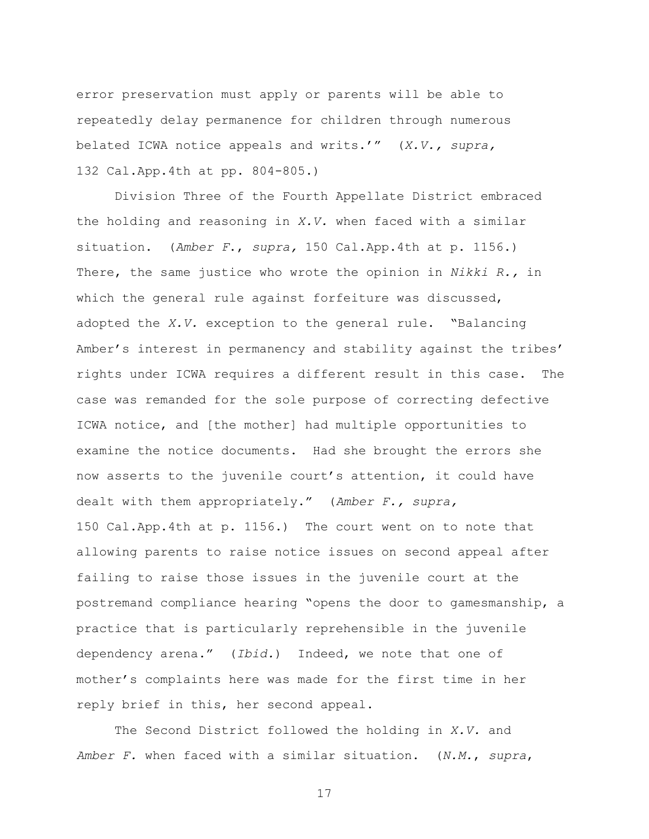error preservation must apply or parents will be able to repeatedly delay permanence for children through numerous belated ICWA notice appeals and writs."" (*X.V., supra,*  132 Cal.App.4th at pp. 804-805.)

Division Three of the Fourth Appellate District embraced the holding and reasoning in *X.V.* when faced with a similar situation. (*Amber F*., *supra,* 150 Cal.App.4th at p. 1156.) There, the same justice who wrote the opinion in *Nikki R.,* in which the general rule against forfeiture was discussed, adopted the *X.V.* exception to the general rule. "Balancing Amber's interest in permanency and stability against the tribes' rights under ICWA requires a different result in this case. The case was remanded for the sole purpose of correcting defective ICWA notice, and [the mother] had multiple opportunities to examine the notice documents. Had she brought the errors she now asserts to the juvenile court's attention, it could have dealt with them appropriately." (*Amber F., supra,*  150 Cal.App.4th at p. 1156.) The court went on to note that allowing parents to raise notice issues on second appeal after failing to raise those issues in the juvenile court at the postremand compliance hearing "opens the door to gamesmanship, a practice that is particularly reprehensible in the juvenile dependency arena." (*Ibid.*) Indeed, we note that one of mother"s complaints here was made for the first time in her reply brief in this, her second appeal.

The Second District followed the holding in *X.V.* and *Amber F.* when faced with a similar situation. (*N.M.*, *supra*,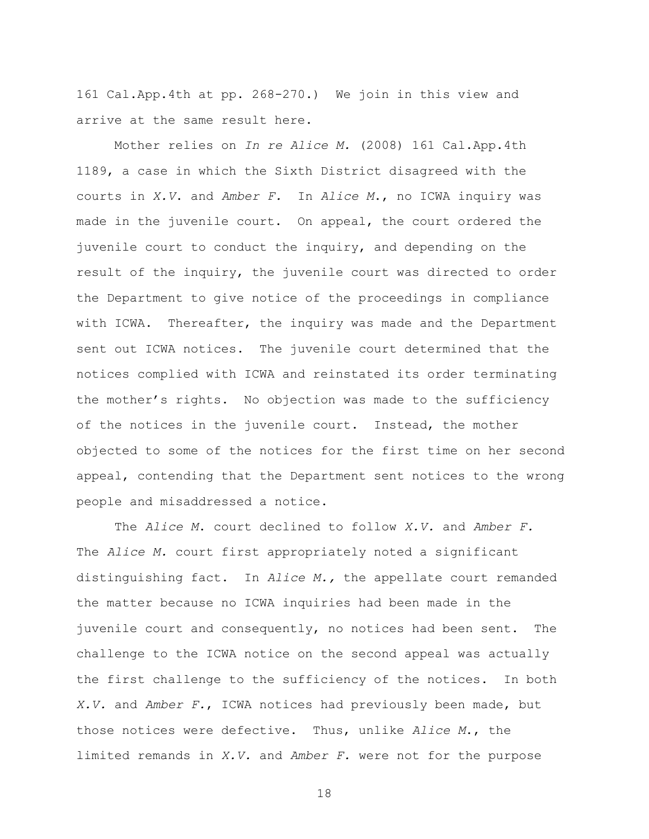161 Cal.App.4th at pp. 268-270.) We join in this view and arrive at the same result here.

Mother relies on *In re Alice M.* (2008) 161 Cal.App.4th 1189, a case in which the Sixth District disagreed with the courts in *X.V*. and *Amber F.* In *Alice M*., no ICWA inquiry was made in the juvenile court. On appeal, the court ordered the juvenile court to conduct the inquiry, and depending on the result of the inquiry, the juvenile court was directed to order the Department to give notice of the proceedings in compliance with ICWA. Thereafter, the inquiry was made and the Department sent out ICWA notices. The juvenile court determined that the notices complied with ICWA and reinstated its order terminating the mother"s rights. No objection was made to the sufficiency of the notices in the juvenile court. Instead, the mother objected to some of the notices for the first time on her second appeal, contending that the Department sent notices to the wrong people and misaddressed a notice.

The *Alice M*. court declined to follow *X.V.* and *Amber F.* The *Alice M.* court first appropriately noted a significant distinguishing fact. In *Alice M.,* the appellate court remanded the matter because no ICWA inquiries had been made in the juvenile court and consequently, no notices had been sent. The challenge to the ICWA notice on the second appeal was actually the first challenge to the sufficiency of the notices. In both *X.V.* and *Amber F.*, ICWA notices had previously been made, but those notices were defective. Thus, unlike *Alice M*., the limited remands in *X.V.* and *Amber F.* were not for the purpose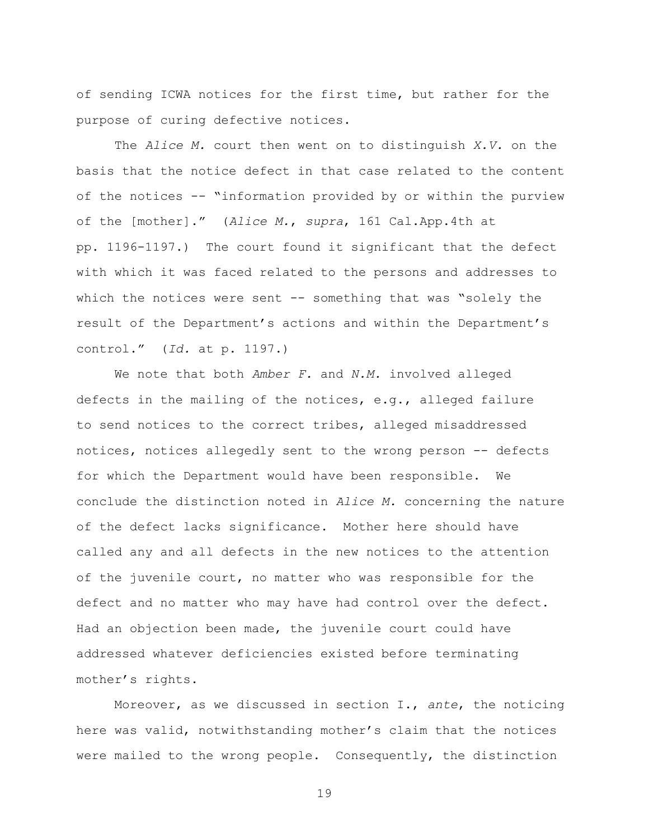of sending ICWA notices for the first time, but rather for the purpose of curing defective notices.

The *Alice M.* court then went on to distinguish *X.V.* on the basis that the notice defect in that case related to the content of the notices -- "information provided by or within the purview of the [mother]." (*Alice M.*, *supra*, 161 Cal.App.4th at pp. 1196-1197.) The court found it significant that the defect with which it was faced related to the persons and addresses to which the notices were sent  $-$ - something that was "solely the result of the Department's actions and within the Department's control." (*Id.* at p. 1197.)

We note that both *Amber F.* and *N.M.* involved alleged defects in the mailing of the notices, e.g., alleged failure to send notices to the correct tribes, alleged misaddressed notices, notices allegedly sent to the wrong person -- defects for which the Department would have been responsible. We conclude the distinction noted in *Alice M.* concerning the nature of the defect lacks significance. Mother here should have called any and all defects in the new notices to the attention of the juvenile court, no matter who was responsible for the defect and no matter who may have had control over the defect. Had an objection been made, the juvenile court could have addressed whatever deficiencies existed before terminating mother"s rights.

Moreover, as we discussed in section I., *ante*, the noticing here was valid, notwithstanding mother"s claim that the notices were mailed to the wrong people. Consequently, the distinction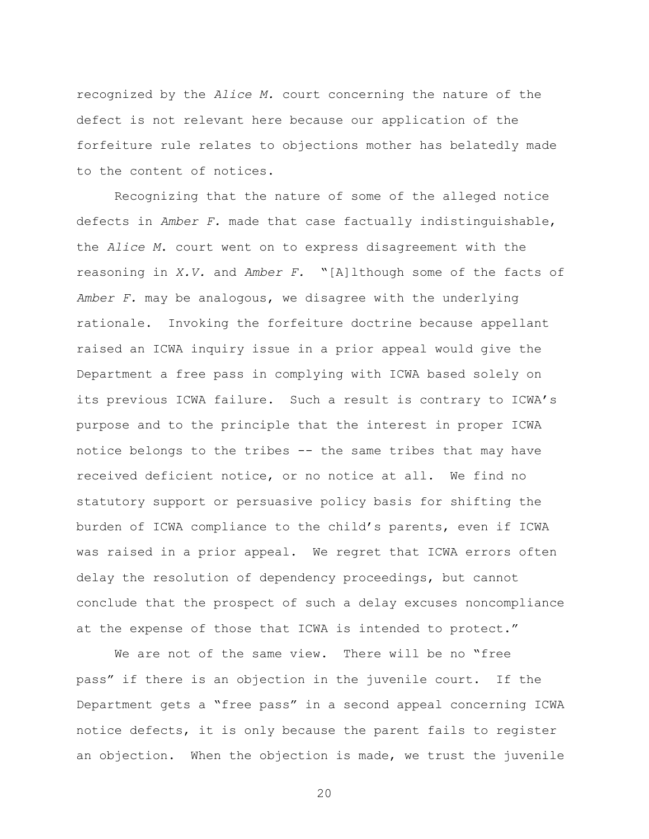recognized by the *Alice M.* court concerning the nature of the defect is not relevant here because our application of the forfeiture rule relates to objections mother has belatedly made to the content of notices.

Recognizing that the nature of some of the alleged notice defects in *Amber F.* made that case factually indistinguishable, the *Alice M*. court went on to express disagreement with the reasoning in *X.V.* and *Amber F.* "[A]lthough some of the facts of *Amber F.* may be analogous, we disagree with the underlying rationale. Invoking the forfeiture doctrine because appellant raised an ICWA inquiry issue in a prior appeal would give the Department a free pass in complying with ICWA based solely on its previous ICWA failure. Such a result is contrary to ICWA"s purpose and to the principle that the interest in proper ICWA notice belongs to the tribes -- the same tribes that may have received deficient notice, or no notice at all. We find no statutory support or persuasive policy basis for shifting the burden of ICWA compliance to the child"s parents, even if ICWA was raised in a prior appeal. We regret that ICWA errors often delay the resolution of dependency proceedings, but cannot conclude that the prospect of such a delay excuses noncompliance at the expense of those that ICWA is intended to protect."

We are not of the same view. There will be no "free pass" if there is an objection in the juvenile court. If the Department gets a "free pass" in a second appeal concerning ICWA notice defects, it is only because the parent fails to register an objection. When the objection is made, we trust the juvenile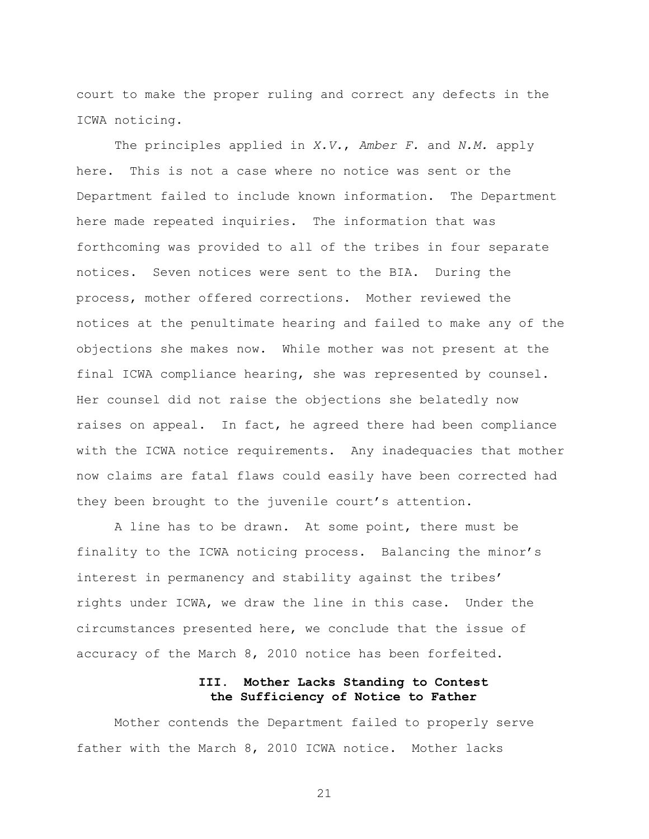court to make the proper ruling and correct any defects in the ICWA noticing.

The principles applied in *X.V.*, *Amber F.* and *N.M.* apply here. This is not a case where no notice was sent or the Department failed to include known information. The Department here made repeated inquiries. The information that was forthcoming was provided to all of the tribes in four separate notices. Seven notices were sent to the BIA. During the process, mother offered corrections. Mother reviewed the notices at the penultimate hearing and failed to make any of the objections she makes now. While mother was not present at the final ICWA compliance hearing, she was represented by counsel. Her counsel did not raise the objections she belatedly now raises on appeal. In fact, he agreed there had been compliance with the ICWA notice requirements. Any inadequacies that mother now claims are fatal flaws could easily have been corrected had they been brought to the juvenile court's attention.

A line has to be drawn. At some point, there must be finality to the ICWA noticing process. Balancing the minor"s interest in permanency and stability against the tribes" rights under ICWA, we draw the line in this case. Under the circumstances presented here, we conclude that the issue of accuracy of the March 8, 2010 notice has been forfeited.

## **III. Mother Lacks Standing to Contest the Sufficiency of Notice to Father**

Mother contends the Department failed to properly serve father with the March 8, 2010 ICWA notice. Mother lacks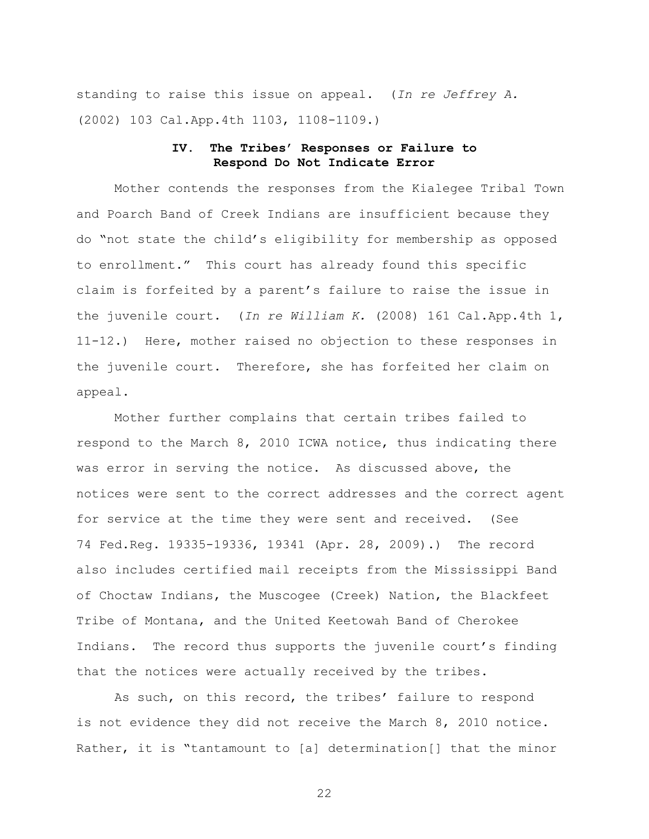standing to raise this issue on appeal. (*In re Jeffrey A.* (2002) 103 Cal.App.4th 1103, 1108-1109.)

### **IV. The Tribes' Responses or Failure to Respond Do Not Indicate Error**

Mother contends the responses from the Kialegee Tribal Town and Poarch Band of Creek Indians are insufficient because they do "not state the child"s eligibility for membership as opposed to enrollment." This court has already found this specific claim is forfeited by a parent"s failure to raise the issue in the juvenile court. (*In re William K.* (2008) 161 Cal.App.4th 1, 11-12.) Here, mother raised no objection to these responses in the juvenile court. Therefore, she has forfeited her claim on appeal.

Mother further complains that certain tribes failed to respond to the March 8, 2010 ICWA notice, thus indicating there was error in serving the notice. As discussed above, the notices were sent to the correct addresses and the correct agent for service at the time they were sent and received. (See 74 Fed.Reg. 19335-19336, 19341 (Apr. 28, 2009).) The record also includes certified mail receipts from the Mississippi Band of Choctaw Indians, the Muscogee (Creek) Nation, the Blackfeet Tribe of Montana, and the United Keetowah Band of Cherokee Indians. The record thus supports the juvenile court's finding that the notices were actually received by the tribes.

As such, on this record, the tribes' failure to respond is not evidence they did not receive the March 8, 2010 notice. Rather, it is "tantamount to [a] determination[] that the minor